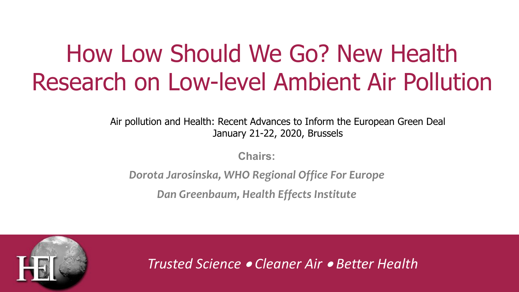# How Low Should We Go? New Health Research on Low-level Ambient Air Pollution

Air pollution and Health: Recent Advances to Inform the European Green Deal January 21-22, 2020, Brussels

**Chairs:**

*Dorota Jarosinska, WHO Regional Office For Europe*

*Dan Greenbaum, Health Effects Institute*



*Trusted Science* • *Cleaner Air* • *Better Health*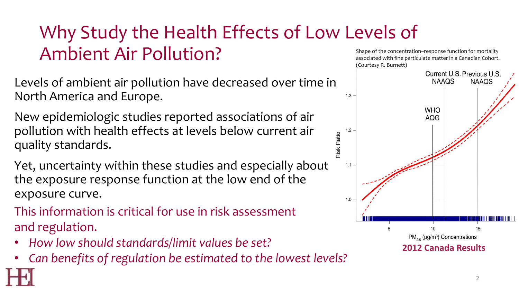## Why Study the Health Effects of Low Levels of Ambient Air Pollution?

Levels of ambient air pollution have decreased over time in North America and Europe.

New epidemiologic studies reported associations of air pollution with health effects at levels below current air quality standards.

Yet, uncertainty within these studies and especially about the exposure response function at the low end of the exposure curve.

This information is critical for use in risk assessment and regulation.

- *How low should standards/limit values be set?*
- *Can benefits of regulation be estimated to the lowest levels?*

Shape of the concentration–response function for mortality associated with fine particulate matter in a Canadian Cohort. (Courtesy R. Burnett)

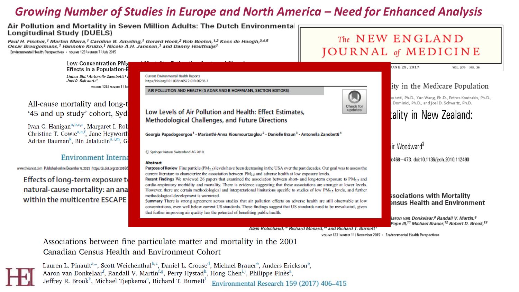#### *Growing Number of Studies in Europe and North America – Need for Enhanced Analysis*

#### Air Pollution and Mortality in Seven Million Adults: The Dutch Environmental Longitudinal Study (DUELS)

Paul H. Fischer,<sup>1</sup> Marten Marra,<sup>1</sup> Caroline B. Ameling,<sup>1</sup> Gerard Hoek,<sup>2</sup> Rob Beelen,<sup>1,2</sup> Kees de Hoogh,<sup>3,4,5</sup> Oscar Breugelmans,<sup>1</sup> Hanneke Kruize,<sup>1</sup> Nicole A.H. Janssen,<sup>1</sup> and Danny Houthuijs<sup>1</sup> Environmental Health Perspectives · volume 123 Numers 7 July 2015

#### The NEW ENGLAND JOURNAL of MEDICINE

Low-Concentration PM<sub>2</sub> **UNE 29, 2017** VOL. 376 NO. 26 **Effects in a Population-B** Liuhua Shi,<sup>1</sup> Antonella Zanobetti,<sup>1</sup> I **Current Environmental Health Reports** Joel D. Schwartz1 https://doi.org/10.1007/s40572-019-00235-7 lity in the Medicare Population VOLUME 124 | NUMBER 1 | Jan AIR POLLUTION AND HEALTH (SADAR AND B HOFFMANN, SECTION EDITORS) nobetti, Ph.D., Yun Wang, Ph.D., Petros Koutrakis, Ph.D., All-cause mortality and long-t 1 Dominici, Ph.D., and Joel D. Schwartz, Ph.D. Check for updates Low Levels of Air Pollution and Health: Effect Estimates, '45 and up study' cohort, Sydi tality in New Zealand: **Methodological Challenges, and Future Directions** Ivan C. Hanigan<sup>a, b, c, \*</sup>, Margaret I. Rolf Christine T. Cowie<sup>a, e, f</sup>, Jane Heyworth Georgia Papadogeorgou<sup>1</sup> - Marianthi-Anna Kioumourtzoglou<sup>2</sup> - Danielle Braun<sup>3</sup> - Antonella Zanobetti<sup>4</sup> Adrian Bauman<sup>k</sup>, Bin Jalaludin<sup>a, I, m</sup>, G lir Woodward<sup>3</sup> C Springer Nature Switzerland AG 2019 **Environment Interna** 3:468-473. doi:10.1136/jech.2010.112490 Abstract www.thelancet.com Published online December 9, 2013 http://dx.doi.org/10.1016/5 **Purpose of Review** Fine particle ( $PM_2$ <sub>5</sub>) levels have been decreasing in the USA over the past decades. Our goal was to assess the current literature to characterize the association between  $PM<sub>2.5</sub>$  and adverse health at low exposure levels. Effects of long-term exposure to Recent Findings We reviewed 26 papers that examined the association between short- and long-term exposure to  $PM_{2.5}$  and cardio-respiratory morbidity and mortality. There is evidence suggesting that these associations are stronger at lower levels. natural-cause mortality: an ana However, there are certain methodological and interpretational limitations specific to studies of low  $PM_{2.5}$  levels, and further ssociations with Mortality methodological development is warranted. within the multicentre ESCAPE Summary There is strong agreement across studies that air pollution effects on adverse health are still observable at low ensus Health and Environment concentrations, even well below current US standards. These findings suggest that US standards need to be reevaluated, given that further improving air quality has the potential of benefiting public health. Aaron van Donkelaar,<sup>6</sup> Randall V. Martin,<sup>6</sup> Pope III,<sup>11</sup> Michael Brauer,<sup>12</sup> Robert D. Brook,<sup>13</sup>

Alain Robichaud," Richard Menard," and Richard T. Burnett'

VOLUME 1231 NUMBER 111 November 2015 · Environmental Health Perspectives

Associations between fine particulate matter and mortality in the 2001 Canadian Census Health and Environment Cohort

Lauren L. Pinault<sup>a,\*</sup>, Scott Weichenthal<sup>b,c</sup>, Daniel L. Crouse<sup>d</sup>, Michael Brauer<sup>e</sup>, Anders Erickson<sup>e</sup>, Aaron van Donkelaar<sup>f</sup>, Randall V. Martin<sup>f,g</sup>, Perry Hystad<sup>h</sup>, Hong Chen<sup>i,j</sup>, Philippe Finès<sup>a</sup>, Jeffrey R. Brook<sup>k</sup>, Michael Tjepkema<sup>a</sup>, Richard T. Burnett<sup>1</sup> Environmental Research 159 (2017) 406-415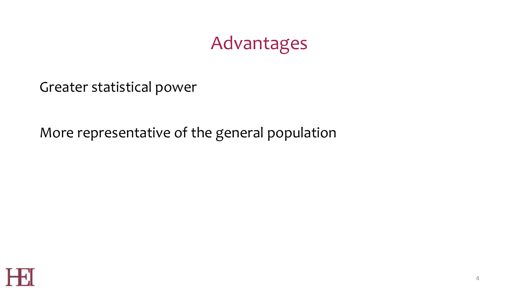### Advantages

Greater statistical power

More representative of the general population

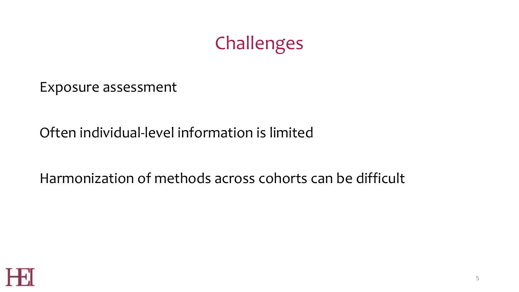### Challenges

Exposure assessment

### Often individual-level information is limited

#### Harmonization of methods across cohorts can be difficult

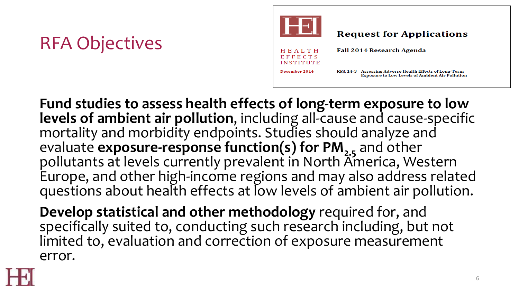## RFA Objectives



**Fund studies to assess health effects of long-term exposure to low levels of ambient air pollution**, including all-cause and cause-specific mortality and morbidity endpoints. Studies should analyze and evaluate **exposure-response function(s) for PM**<sub>2.5</sub> and other pollutants at levels currently prevalent in North America, Western Europe, and other high-income regions and may also address related questions about health effects at low levels of ambient air pollution.

**Develop statistical and other methodology** required for, and specifically suited to, conducting such research including, but not limited to, evaluation and correction of exposure measurement error.

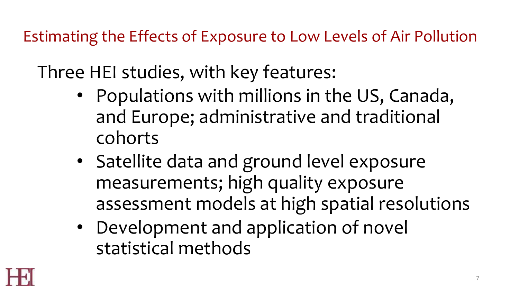Estimating the Effects of Exposure to Low Levels of Air Pollution

Three HEI studies, with key features:

- Populations with millions in the US, Canada, and Europe; administrative and traditional cohorts
- Satellite data and ground level exposure measurements; high quality exposure assessment models at high spatial resolutions
- Development and application of novel statistical methods

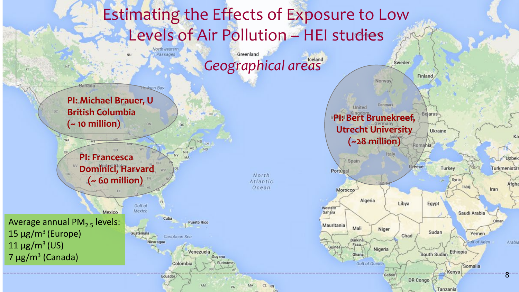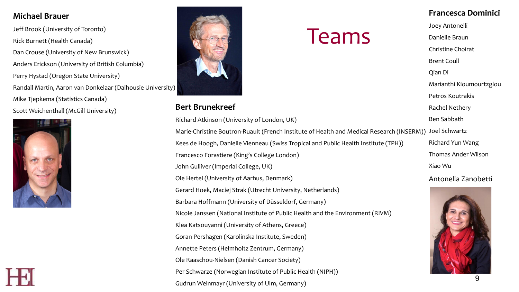#### **Michael Brauer**

Jeff Brook (University of Toronto) Rick Burnett (Health Canada) Dan Crouse (University of New Brunswick) Anders Erickson (University of British Columbia) Perry Hystad (Oregon State University) Randall Martin, Aaron van Donkelaar (Dalhousie University) Mike Tjepkema (Statistics Canada) Scott Weichenthall (McGill University)





#### **Bert Brunekreef**

Richard Atkinson (University of London, UK) Marie-Christine Boutron-Ruault (French Institute of Health and Medical Research (INSERM)) Kees de Hoogh, Danielle Vienneau (Swiss Tropical and Public Health Institute (TPH)) Francesco Forastiere (King's College London) John Gulliver (Imperial College, UK) Ole Hertel (University of Aarhus, Denmark) Gerard Hoek, Maciej Strak (Utrecht University, Netherlands) Barbara Hoffmann (University of Düsseldorf, Germany) Nicole Janssen (National Institute of Public Health and the Environment (RIVM) Klea Katsouyanni (University of Athens, Greece) Goran Pershagen (Karolinska Institute, Sweden) Annette Peters (Helmholtz Zentrum, Germany) Ole Raaschou-Nielsen (Danish Cancer Society) Per Schwarze (Norwegian Institute of Public Health (NIPH)) Gudrun Weinmayr (University of Ulm, Germany)

Teams

#### **Francesca Dominici**

Joey Antonelli

Danielle Braun

Christine Choirat

Brent Coull

Qian Di

Marianthi Kioumourtzglou

Petros Koutrakis

Rachel Nethery

Ben Sabbath

Joel Schwartz Richard Yun Wang Thomas Ander Wilson Xiao Wu

Antonella Zanobetti

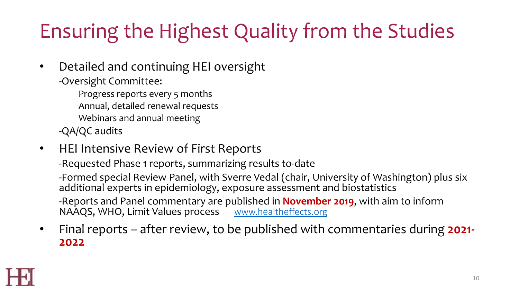# Ensuring the Highest Quality from the Studies

- Detailed and continuing HEI oversight
	- -Oversight Committee:

Progress reports every 5 months

- Annual, detailed renewal requests
- Webinars and annual meeting

-QA/QC audits

• HEI Intensive Review of First Reports

-Requested Phase 1 reports, summarizing results to-date

-Formed special Review Panel, with Sverre Vedal (chair, University of Washington) plus six additional experts in epidemiology, exposure assessment and biostatistics -Reports and Panel commentary are published in **November 2019**, with aim to inform NAAQS, WHO, Limit Values process [www.healtheffects.org](http://www.healtheffects.org/)

• Final reports – after review, to be published with commentaries during **2021- <sup>2022</sup>**

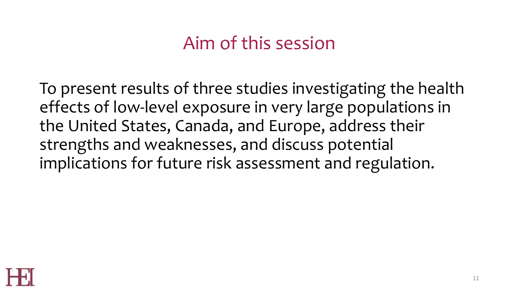### Aim of this session

To present results of three studies investigating the health effects of low-level exposure in very large populations in the United States, Canada, and Europe, address their strengths and weaknesses, and discuss potential implications for future risk assessment and regulation.

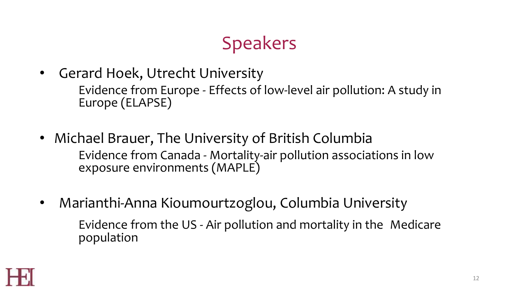## **Speakers**

- Gerard Hoek, Utrecht University Evidence from Europe - Effects of low-level air pollution: A study in Europe (ELAPSE)
- Michael Brauer, The University of British Columbia Evidence from Canada - Mortality-air pollution associations in low exposure environments (MAPLE)
- Marianthi-Anna Kioumourtzoglou, Columbia University Evidence from the US - Air pollution and mortality in the Medicare population